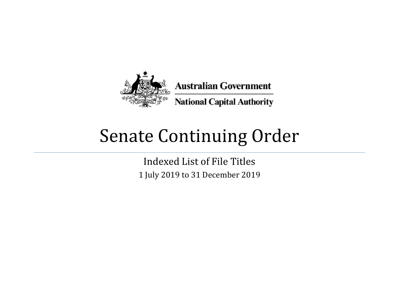

## Senate Continuing Order

Indexed List of File Titles 1 July 2019 to 31 December 2019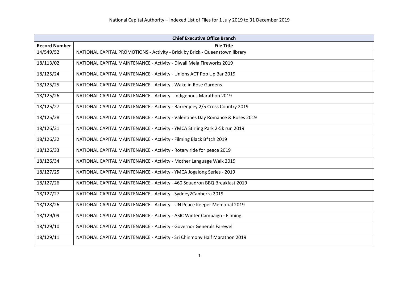| <b>Chief Executive Office Branch</b> |                                                                               |
|--------------------------------------|-------------------------------------------------------------------------------|
| <b>Record Number</b>                 | <b>File Title</b>                                                             |
| 14/549/52                            | NATIONAL CAPITAL PROMOTIONS - Activity - Brick by Brick - Queenstown library  |
| 18/113/02                            | NATIONAL CAPITAL MAINTENANCE - Activity - Diwali Mela Fireworks 2019          |
| 18/125/24                            | NATIONAL CAPITAL MAINTENANCE - Activity - Unions ACT Pop Up Bar 2019          |
| 18/125/25                            | NATIONAL CAPITAL MAINTENANCE - Activity - Wake in Rose Gardens                |
| 18/125/26                            | NATIONAL CAPITAL MAINTENANCE - Activity - Indigenous Marathon 2019            |
| 18/125/27                            | NATIONAL CAPITAL MAINTENANCE - Activity - Barrenjoey 2/5 Cross Country 2019   |
| 18/125/28                            | NATIONAL CAPITAL MAINTENANCE - Activity - Valentines Day Romance & Roses 2019 |
| 18/126/31                            | NATIONAL CAPITAL MAINTENANCE - Activity - YMCA Stirling Park 2-5k run 2019    |
| 18/126/32                            | NATIONAL CAPITAL MAINTENANCE - Activity - Filming Black B*tch 2019            |
| 18/126/33                            | NATIONAL CAPITAL MAINTENANCE - Activity - Rotary ride for peace 2019          |
| 18/126/34                            | NATIONAL CAPITAL MAINTENANCE - Activity - Mother Language Walk 2019           |
| 18/127/25                            | NATIONAL CAPITAL MAINTENANCE - Activity - YMCA Jogalong Series - 2019         |
| 18/127/26                            | NATIONAL CAPITAL MAINTENANCE - Activity - 460 Squadron BBQ Breakfast 2019     |
| 18/127/27                            | NATIONAL CAPITAL MAINTENANCE - Activity - Sydney2Canberra 2019                |
| 18/128/26                            | NATIONAL CAPITAL MAINTENANCE - Activity - UN Peace Keeper Memorial 2019       |
| 18/129/09                            | NATIONAL CAPITAL MAINTENANCE - Activity - ASIC Winter Campaign - Filming      |
| 18/129/10                            | NATIONAL CAPITAL MAINTENANCE - Activity - Governor Generals Farewell          |
| 18/129/11                            | NATIONAL CAPITAL MAINTENANCE - Activity - Sri Chinmony Half Marathon 2019     |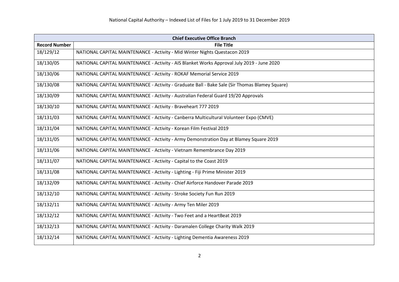|                      | <b>Chief Executive Office Branch</b>                                                           |  |
|----------------------|------------------------------------------------------------------------------------------------|--|
| <b>Record Number</b> | <b>File Title</b>                                                                              |  |
| 18/129/12            | NATIONAL CAPITAL MAINTENANCE - Activity - Mid Winter Nights Questacon 2019                     |  |
| 18/130/05            | NATIONAL CAPITAL MAINTENANCE - Activity - AIS Blanket Works Approval July 2019 - June 2020     |  |
| 18/130/06            | NATIONAL CAPITAL MAINTENANCE - Activity - ROKAF Memorial Service 2019                          |  |
| 18/130/08            | NATIONAL CAPITAL MAINTENANCE - Activity - Graduate Ball - Bake Sale (Sir Thomas Blamey Square) |  |
| 18/130/09            | NATIONAL CAPITAL MAINTENANCE - Activity - Australian Federal Guard 19/20 Approvals             |  |
| 18/130/10            | NATIONAL CAPITAL MAINTENANCE - Activity - Braveheart 777 2019                                  |  |
| 18/131/03            | NATIONAL CAPITAL MAINTENANCE - Activity - Canberra Multicultural Volunteer Expo (CMVE)         |  |
| 18/131/04            | NATIONAL CAPITAL MAINTENANCE - Activity - Korean Film Festival 2019                            |  |
| 18/131/05            | NATIONAL CAPITAL MAINTENANCE - Activity - Army Demonstration Day at Blamey Square 2019         |  |
| 18/131/06            | NATIONAL CAPITAL MAINTENANCE - Activity - Vietnam Remembrance Day 2019                         |  |
| 18/131/07            | NATIONAL CAPITAL MAINTENANCE - Activity - Capital to the Coast 2019                            |  |
| 18/131/08            | NATIONAL CAPITAL MAINTENANCE - Activity - Lighting - Fiji Prime Minister 2019                  |  |
| 18/132/09            | NATIONAL CAPITAL MAINTENANCE - Activity - Chief Airforce Handover Parade 2019                  |  |
| 18/132/10            | NATIONAL CAPITAL MAINTENANCE - Activity - Stroke Society Fun Run 2019                          |  |
| 18/132/11            | NATIONAL CAPITAL MAINTENANCE - Activity - Army Ten Miler 2019                                  |  |
| 18/132/12            | NATIONAL CAPITAL MAINTENANCE - Activity - Two Feet and a HeartBeat 2019                        |  |
| 18/132/13            | NATIONAL CAPITAL MAINTENANCE - Activity - Daramalen College Charity Walk 2019                  |  |
| 18/132/14            | NATIONAL CAPITAL MAINTENANCE - Activity - Lighting Dementia Awareness 2019                     |  |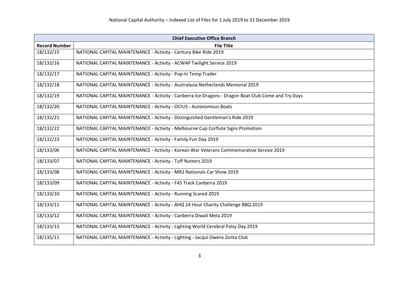| <b>Chief Executive Office Branch</b> |                                                                                                     |
|--------------------------------------|-----------------------------------------------------------------------------------------------------|
| <b>Record Number</b>                 | <b>File Title</b>                                                                                   |
| 18/132/15                            | NATIONAL CAPITAL MAINTENANCE - Activity - Century Bike Ride 2019                                    |
| 18/132/16                            | NATIONAL CAPITAL MAINTENANCE - Activity - ACWAP Twilight Service 2019                               |
| 18/132/17                            | NATIONAL CAPITAL MAINTENANCE - Activity - Pop-In Temp Trader                                        |
| 18/132/18                            | NATIONAL CAPITAL MAINTENANCE - Activity - Australasia Netherlands Memorial 2019                     |
| 18/132/19                            | NATIONAL CAPITAL MAINTENANCE - Activity - Canberra Ice Dragons - Dragon Boat Club Come and Try Days |
| 18/132/20                            | NATIONAL CAPITAL MAINTENANCE - Activity - OCIUS - Autonomous Boats                                  |
| 18/132/21                            | NATIONAL CAPITAL MAINTENANCE - Activity - Distinguished Gentleman's Ride 2019                       |
| 18/132/22                            | NATIONAL CAPITAL MAINTENANCE - Activity - Melbourne Cup Corflute Signs Promotion                    |
| 18/132/23                            | NATIONAL CAPITAL MAINTENANCE - Activity - Family Fun Day 2019                                       |
| 18/133/06                            | NATIONAL CAPITAL MAINTENANCE - Activity - Korean War Veterans Commemorative Service 2019            |
| 18/133/07                            | NATIONAL CAPITAL MAINTENANCE - Activity - Tuff Nutterz 2019                                         |
| 18/133/08                            | NATIONAL CAPITAL MAINTENANCE - Activity - MR2 Nationals Car Show 2019                               |
| 18/133/09                            | NATIONAL CAPITAL MAINTENANCE - Activity - F45 Track Canberra 2019                                   |
| 18/133/10                            | NATIONAL CAPITAL MAINTENANCE - Activity - Running Scared 2019                                       |
| 18/133/11                            | NATIONAL CAPITAL MAINTENANCE - Activity - AHQ 24 Hour Charity Challenge BBQ 2019                    |
| 18/133/12                            | NATIONAL CAPITAL MAINTENANCE - Activity - Canberra Diwali Mela 2019                                 |
| 18/133/13                            | NATIONAL CAPITAL MAINTENANCE - Activity - Lighting World Cerebral Palsy Day 2019                    |
| 18/135/11                            | NATIONAL CAPITAL MAINTENANCE - Activity - Lighting - Jacqui Owens Zonta Club                        |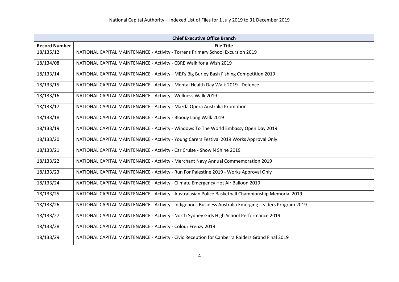| <b>Chief Executive Office Branch</b> |                                                                                                       |
|--------------------------------------|-------------------------------------------------------------------------------------------------------|
| <b>Record Number</b>                 | <b>File Title</b>                                                                                     |
| 18/135/12                            | NATIONAL CAPITAL MAINTENANCE - Activity - Torrens Primary School Excursion 2019                       |
| 18/134/08                            | NATIONAL CAPITAL MAINTENANCE - Activity - CBRE Walk for a Wish 2019                                   |
| 18/133/14                            | NATIONAL CAPITAL MAINTENANCE - Activity - MEJ's Big Burley Bash Fishing Competition 2019              |
| 18/133/15                            | NATIONAL CAPITAL MAINTENANCE - Activity - Mental Health Day Walk 2019 - Defence                       |
| 18/133/16                            | NATIONAL CAPITAL MAINTENANCE - Activity - Wellness Walk 2019                                          |
| 18/133/17                            | NATIONAL CAPITAL MAINTENANCE - Activity - Mazda Opera Australia Promotion                             |
| 18/133/18                            | NATIONAL CAPITAL MAINTENANCE - Activity - Bloody Long Walk 2019                                       |
| 18/133/19                            | NATIONAL CAPITAL MAINTENANCE - Activity - Windows To The World Embassy Open Day 2019                  |
| 18/133/20                            | NATIONAL CAPITAL MAINTENANCE - Activity - Young Carers Festival 2019 Works Approval Only              |
| 18/133/21                            | NATIONAL CAPITAL MAINTENANCE - Activity - Car Cruise - Show N Shine 2019                              |
| 18/133/22                            | NATIONAL CAPITAL MAINTENANCE - Activity - Merchant Navy Annual Commemoration 2019                     |
| 18/133/23                            | NATIONAL CAPITAL MAINTENANCE - Activity - Run For Palestine 2019 - Works Approval Only                |
| 18/133/24                            | NATIONAL CAPITAL MAINTENANCE - Activity - Climate Emergency Hot Air Balloon 2019                      |
| 18/133/25                            | NATIONAL CAPITAL MAINTENANCE - Activity - Australasian Police Basketball Championship Memorial 2019   |
| 18/133/26                            | NATIONAL CAPITAL MAINTENANCE - Activity - Indigenous Business Australia Emerging Leaders Program 2019 |
| 18/133/27                            | NATIONAL CAPITAL MAINTENANCE - Activity - North Sydney Girls High School Performance 2019             |
| 18/133/28                            | NATIONAL CAPITAL MAINTENANCE - Activity - Colour Frenzy 2019                                          |
| 18/133/29                            | NATIONAL CAPITAL MAINTENANCE - Activity - Civic Reception for Canberra Raiders Grand Final 2019       |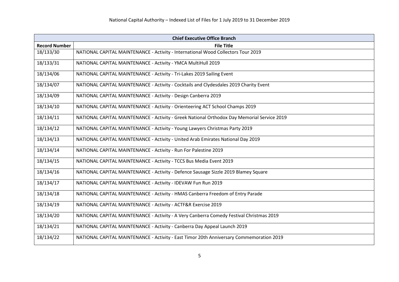| <b>Chief Executive Office Branch</b> |                                                                                             |
|--------------------------------------|---------------------------------------------------------------------------------------------|
| <b>Record Number</b>                 | <b>File Title</b>                                                                           |
| 18/133/30                            | NATIONAL CAPITAL MAINTENANCE - Activity - International Wood Collectors Tour 2019           |
| 18/133/31                            | NATIONAL CAPITAL MAINTENANCE - Activity - YMCA MultiHull 2019                               |
| 18/134/06                            | NATIONAL CAPITAL MAINTENANCE - Activity - Tri-Lakes 2019 Sailing Event                      |
| 18/134/07                            | NATIONAL CAPITAL MAINTENANCE - Activity - Cocktails and Clydesdales 2019 Charity Event      |
| 18/134/09                            | NATIONAL CAPITAL MAINTENANCE - Activity - Design Canberra 2019                              |
| 18/134/10                            | NATIONAL CAPITAL MAINTENANCE - Activity - Orienteering ACT School Champs 2019               |
| 18/134/11                            | NATIONAL CAPITAL MAINTENANCE - Activity - Greek National Orthodox Day Memorial Service 2019 |
| 18/134/12                            | NATIONAL CAPITAL MAINTENANCE - Activity - Young Lawyers Christmas Party 2019                |
| 18/134/13                            | NATIONAL CAPITAL MAINTENANCE - Activity - United Arab Emirates National Day 2019            |
| 18/134/14                            | NATIONAL CAPITAL MAINTENANCE - Activity - Run For Palestine 2019                            |
| 18/134/15                            | NATIONAL CAPITAL MAINTENANCE - Activity - TCCS Bus Media Event 2019                         |
| 18/134/16                            | NATIONAL CAPITAL MAINTENANCE - Activity - Defence Sausage Sizzle 2019 Blamey Square         |
| 18/134/17                            | NATIONAL CAPITAL MAINTENANCE - Activity - IDEVAW Fun Run 2019                               |
| 18/134/18                            | NATIONAL CAPITAL MAINTENANCE - Activity - HMAS Canberra Freedom of Entry Parade             |
| 18/134/19                            | NATIONAL CAPITAL MAINTENANCE - Activity - ACTF&R Exercise 2019                              |
| 18/134/20                            | NATIONAL CAPITAL MAINTENANCE - Activity - A Very Canberra Comedy Festival Christmas 2019    |
| 18/134/21                            | NATIONAL CAPITAL MAINTENANCE - Activity - Canberra Day Appeal Launch 2019                   |
| 18/134/22                            | NATIONAL CAPITAL MAINTENANCE - Activity - East Timor 20th Anniversary Commemoration 2019    |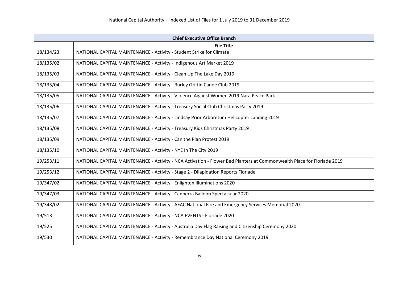| <b>Chief Executive Office Branch</b> |                                                                                                                        |
|--------------------------------------|------------------------------------------------------------------------------------------------------------------------|
|                                      | <b>File Title</b>                                                                                                      |
| 18/134/23                            | NATIONAL CAPITAL MAINTENANCE - Activity - Student Strike for Climate                                                   |
| 18/135/02                            | NATIONAL CAPITAL MAINTENANCE - Activity - Indigenous Art Market 2019                                                   |
| 18/135/03                            | NATIONAL CAPITAL MAINTENANCE - Activity - Clean Up The Lake Day 2019                                                   |
| 18/135/04                            | NATIONAL CAPITAL MAINTENANCE - Activity - Burley Griffin Canoe Club 2019                                               |
| 18/135/05                            | NATIONAL CAPITAL MAINTENANCE - Activity - Violence Against Women 2019 Nara Peace Park                                  |
| 18/135/06                            | NATIONAL CAPITAL MAINTENANCE - Activity - Treasury Social Club Christmas Party 2019                                    |
| 18/135/07                            | NATIONAL CAPITAL MAINTENANCE - Activity - Lindsay Prior Arboretum Helicopter Landing 2019                              |
| 18/135/08                            | NATIONAL CAPITAL MAINTENANCE - Activity - Treasury Kids Christmas Party 2019                                           |
| 18/135/09                            | NATIONAL CAPITAL MAINTENANCE - Activity - Can the Plan Protest 2019                                                    |
| 18/135/10                            | NATIONAL CAPITAL MAINTENANCE - Activity - NYE In The City 2019                                                         |
| 19/253/11                            | NATIONAL CAPITAL MAINTENANCE - Activity - NCA Activation - Flower Bed Planters at Commonwealth Place for Floriade 2019 |
| 19/253/12                            | NATIONAL CAPITAL MAINTENANCE - Activity - Stage 2 - Dilapidation Reports Floriade                                      |
| 19/347/02                            | NATIONAL CAPITAL MAINTENANCE - Activity - Enlighten Illuminations 2020                                                 |
| 19/347/03                            | NATIONAL CAPITAL MAINTENANCE - Activity - Canberra Balloon Spectacular 2020                                            |
| 19/348/02                            | NATIONAL CAPITAL MAINTENANCE - Activity - AFAC National Fire and Emergency Services Memorial 2020                      |
| 19/513                               | NATIONAL CAPITAL MAINTENANCE - Activity - NCA EVENTS - Floriade 2020                                                   |
| 19/525                               | NATIONAL CAPITAL MAINTENANCE - Activity - Australia Day Flag Raising and Citizenship Ceremony 2020                     |
| 19/530                               | NATIONAL CAPITAL MAINTENANCE - Activity - Remembrance Day National Ceremony 2019                                       |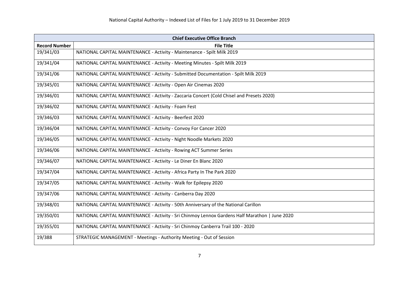| <b>Chief Executive Office Branch</b> |                                                                                                |
|--------------------------------------|------------------------------------------------------------------------------------------------|
| <b>Record Number</b>                 | <b>File Title</b>                                                                              |
| 19/341/03                            | NATIONAL CAPITAL MAINTENANCE - Activity - Maintenance - Spilt Milk 2019                        |
| 19/341/04                            | NATIONAL CAPITAL MAINTENANCE - Activity - Meeting Minutes - Spilt Milk 2019                    |
| 19/341/06                            | NATIONAL CAPITAL MAINTENANCE - Activity - Submitted Documentation - Spilt Milk 2019            |
| 19/345/01                            | NATIONAL CAPITAL MAINTENANCE - Activity - Open Air Cinemas 2020                                |
| 19/346/01                            | NATIONAL CAPITAL MAINTENANCE - Activity - Zaccaria Concert (Cold Chisel and Presets 2020)      |
| 19/346/02                            | NATIONAL CAPITAL MAINTENANCE - Activity - Foam Fest                                            |
| 19/346/03                            | NATIONAL CAPITAL MAINTENANCE - Activity - Beerfest 2020                                        |
| 19/346/04                            | NATIONAL CAPITAL MAINTENANCE - Activity - Convoy For Cancer 2020                               |
| 19/346/05                            | NATIONAL CAPITAL MAINTENANCE - Activity - Night Noodle Markets 2020                            |
| 19/346/06                            | NATIONAL CAPITAL MAINTENANCE - Activity - Rowing ACT Summer Series                             |
| 19/346/07                            | NATIONAL CAPITAL MAINTENANCE - Activity - Le Diner En Blanc 2020                               |
| 19/347/04                            | NATIONAL CAPITAL MAINTENANCE - Activity - Africa Party In The Park 2020                        |
| 19/347/05                            | NATIONAL CAPITAL MAINTENANCE - Activity - Walk for Epilepsy 2020                               |
| 19/347/06                            | NATIONAL CAPITAL MAINTENANCE - Activity - Canberra Day 2020                                    |
| 19/348/01                            | NATIONAL CAPITAL MAINTENANCE - Activity - 50th Anniversary of the National Carillon            |
| 19/350/01                            | NATIONAL CAPITAL MAINTENANCE - Activity - Sri Chinmoy Lennox Gardens Half Marathon   June 2020 |
| 19/355/01                            | NATIONAL CAPITAL MAINTENANCE - Activity - Sri Chinmoy Canberra Trail 100 - 2020                |
| 19/388                               | STRATEGIC MANAGEMENT - Meetings - Authority Meeting - Out of Session                           |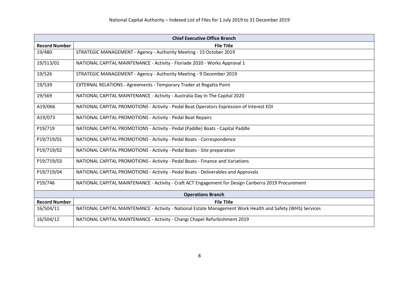| <b>Chief Executive Office Branch</b> |                                                                                                            |
|--------------------------------------|------------------------------------------------------------------------------------------------------------|
| <b>Record Number</b>                 | <b>File Title</b>                                                                                          |
| 19/480                               | STRATEGIC MANAGEMENT - Agency - Authority Meeting - 15 October 2019                                        |
| 19/513/01                            | NATIONAL CAPITAL MAINTENANCE - Activity - Floriade 2020 - Works Approval 1                                 |
| 19/526                               | STRATEGIC MANAGEMENT - Agency - Authority Meeting - 9 December 2019                                        |
| 19/539                               | EXTERNAL RELATIONS - Agreements - Temporary Trader at Regatta Point                                        |
| 19/569                               | NATIONAL CAPITAL MAINTENANCE - Activity - Australia Day In The Capital 2020                                |
| A19/066                              | NATIONAL CAPITAL PROMOTIONS - Activity - Pedal Boat Operators Expression of Interest EOI                   |
| A19/073                              | NATIONAL CAPITAL PROMOTIONS - Activity - Pedal Boat Repairs                                                |
| P19/719                              | NATIONAL CAPITAL PROMOTIONS - Activity - Pedal (Paddle) Boats - Capital Paddle                             |
| P19/719/01                           | NATIONAL CAPITAL PROMOTIONS - Activity - Pedal Boats - Correspondence                                      |
| P19/719/02                           | NATIONAL CAPITAL PROMOTIONS - Activity - Pedal Boats - Site preparation                                    |
| P19/719/03                           | NATIONAL CAPITAL PROMOTIONS - Activity - Pedal Boats - Finance and Variations                              |
| P19/719/04                           | NATIONAL CAPITAL PROMOTIONS - Activity - Pedal Boats - Deliverables and Approvals                          |
| P19/746                              | NATIONAL CAPITAL MAINTENANCE - Activity - Craft ACT Engagement for Design Canberra 2019 Procurement        |
| <b>Operations Branch</b>             |                                                                                                            |
| <b>Record Number</b>                 | <b>File Title</b>                                                                                          |
| 16/504/11                            | NATIONAL CAPITAL MAINTENANCE - Activity - National Estate Management Work Health and Safety (WHS) Services |
| 16/504/12                            | NATIONAL CAPITAL MAINTENANCE - Activity - Changi Chapel Refurbishment 2019                                 |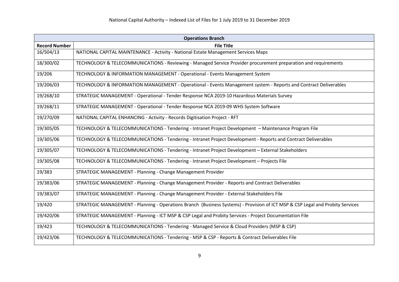| <b>Operations Branch</b> |                                                                                                                                |
|--------------------------|--------------------------------------------------------------------------------------------------------------------------------|
| <b>Record Number</b>     | <b>File Title</b>                                                                                                              |
| 16/504/13                | NATIONAL CAPITAL MAINTENANCE - Activity - National Estate Management Services Maps                                             |
| 18/300/02                | TECHNOLOGY & TELECOMMUNICATIONS - Reviewing - Managed Service Provider procurement preparation and requirements                |
| 19/206                   | TECHNOLOGY & INFORMATION MANAGEMENT - Operational - Events Management System                                                   |
| 19/206/03                | TECHNOLOGY & INFORMATION MANAGEMENT - Operational - Events Management system - Reports and Contract Deliverables               |
| 19/268/10                | STRATEGIC MANAGEMENT - Operational - Tender Response NCA 2019-10 Hazardous Materials Survey                                    |
| 19/268/11                | STRATEGIC MANAGEMENT - Operational - Tender Response NCA 2019-09 WHS System Software                                           |
| 19/270/09                | NATIONAL CAPITAL ENHANCING - Activity - Records Digitisation Project - RFT                                                     |
| 19/305/05                | TECHNOLOGY & TELECOMMUNICATIONS - Tendering - Intranet Project Development - Maintenance Program File                          |
| 19/305/06                | TECHNOLOGY & TELECOMMUNICATIONS - Tendering - Intranet Project Development - Reports and Contract Deliverables                 |
| 19/305/07                | TECHNOLOGY & TELECOMMUNICATIONS - Tendering - Intranet Project Development - External Stakeholders                             |
| 19/305/08                | TECHNOLOGY & TELECOMMUNICATIONS - Tendering - Intranet Project Development - Projects File                                     |
| 19/383                   | STRATEGIC MANAGEMENT - Planning - Change Management Provider                                                                   |
| 19/383/06                | STRATEGIC MANAGEMENT - Planning - Change Management Provider - Reports and Contract Deliverables                               |
| 19/383/07                | STRATEGIC MANAGEMENT - Planning - Change Management Provider - External Stakeholders File                                      |
| 19/420                   | STRATEGIC MANAGEMENT - Planning - Operations Branch (Business Systems) - Provision of ICT MSP & CSP Legal and Probity Services |
| 19/420/06                | STRATEGIC MANAGEMENT - Planning - ICT MSP & CSP Legal and Probity Services - Project Documentation File                        |
| 19/423                   | TECHNOLOGY & TELECOMMUNICATIONS - Tendering - Managed Service & Cloud Providers (MSP & CSP)                                    |
| 19/423/06                | TECHNOLOGY & TELECOMMUNICATIONS - Tendering - MSP & CSP - Reports & Contract Deliverables File                                 |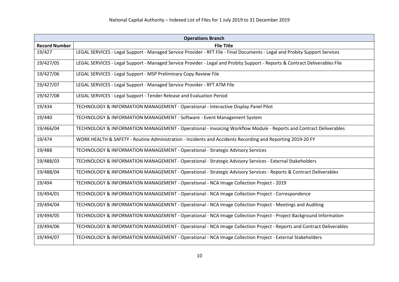|                      | <b>Operations Branch</b>                                                                                                     |  |
|----------------------|------------------------------------------------------------------------------------------------------------------------------|--|
| <b>Record Number</b> | <b>File Title</b>                                                                                                            |  |
| 19/427               | LEGAL SERVICES - Legal Support - Managed Service Provider - RFT File - Final Documents - Legal and Probity Support Services  |  |
| 19/427/05            | LEGAL SERVICES - Legal Support - Managed Service Provider - Legal and Probity Support - Reports & Contract Deliverables File |  |
| 19/427/06            | LEGAL SERVICES - Legal Support - MSP Preliminary Copy Review File                                                            |  |
| 19/427/07            | LEGAL SERVICES - Legal Support - Managed Service Provider - RFT ATM File                                                     |  |
| 19/427/08            | LEGAL SERVICES - Legal Support - Tender Release and Evaluation Period                                                        |  |
| 19/434               | TECHNOLOGY & INFORMATION MANAGEMENT - Operational - Interactive Display Panel Pilot                                          |  |
| 19/440               | TECHNOLOGY & INFORMATION MANAGEMENT - Software - Event Management System                                                     |  |
| 19/466/04            | TECHNOLOGY & INFORMATION MANAGEMENT - Operational - Invoicing Workflow Module - Reports and Contract Deliverables            |  |
| 19/474               | WORK HEALTH & SAFETY - Routine Administration - Incidents and Accidents Recording and Reporting 2019-20 FY                   |  |
| 19/488               | TECHNOLOGY & INFORMATION MANAGEMENT - Operational - Strategic Advisory Services                                              |  |
| 19/488/03            | TECHNOLOGY & INFORMATION MANAGEMENT - Operational - Strategic Advisory Services - External Stakeholders                      |  |
| 19/488/04            | TECHNOLOGY & INFORMATION MANAGEMENT - Operational - Strategic Advisory Services - Reports & Contract Deliverables            |  |
| 19/494               | TECHNOLOGY & INFORMATION MANAGEMENT - Operational - NCA Image Collection Project - 2019                                      |  |
| 19/494/01            | TECHNOLOGY & INFORMATION MANAGEMENT - Operational - NCA Image Collection Project - Correspondence                            |  |
| 19/494/04            | TECHNOLOGY & INFORMATION MANAGEMENT - Operational - NCA Image Collection Project - Meetings and Auditing                     |  |
| 19/494/05            | TECHNOLOGY & INFORMATION MANAGEMENT - Operational - NCA Image Collection Project - Project Background Information            |  |
| 19/494/06            | TECHNOLOGY & INFORMATION MANAGEMENT - Operational - NCA Image Collection Project - Reports and Contract Deliverables         |  |
| 19/494/07            | TECHNOLOGY & INFORMATION MANAGEMENT - Operational - NCA Image Collection Project - External Stakeholders                     |  |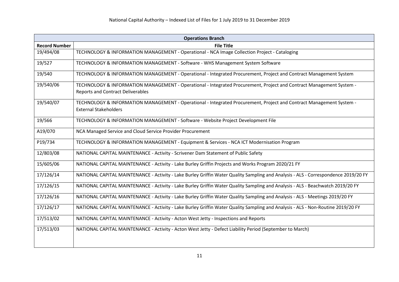| <b>Operations Branch</b> |                                                                                                                                     |
|--------------------------|-------------------------------------------------------------------------------------------------------------------------------------|
| <b>Record Number</b>     | <b>File Title</b>                                                                                                                   |
| 19/494/08                | TECHNOLOGY & INFORMATION MANAGEMENT - Operational - NCA Image Collection Project - Cataloging                                       |
| 19/527                   | TECHNOLOGY & INFORMATION MANAGEMENT - Software - WHS Management System Software                                                     |
| 19/540                   | TECHNOLOGY & INFORMATION MANAGEMENT - Operational - Integrated Procurement, Project and Contract Management System                  |
| 19/540/06                | TECHNOLOGY & INFORMATION MANAGEMENT - Operational - Integrated Procurement, Project and Contract Management System -                |
|                          | <b>Reports and Contract Deliverables</b>                                                                                            |
| 19/540/07                | TECHNOLOGY & INFORMATION MANAGEMENT - Operational - Integrated Procurement, Project and Contract Management System -                |
|                          | <b>External Stakeholders</b>                                                                                                        |
| 19/566                   | TECHNOLOGY & INFORMATION MANAGEMENT - Software - Website Project Development File                                                   |
| A19/070                  | NCA Managed Service and Cloud Service Provider Procurement                                                                          |
| P19/734                  | TECHNOLOGY & INFORMATION MANAGEMENT - Equipment & Services - NCA ICT Modernisation Program                                          |
| 12/803/08                | NATIONAL CAPITAL MAINTENANCE - Activity - Scrivener Dam Statement of Public Safety                                                  |
| 15/605/06                | NATIONAL CAPITAL MAINTENANCE - Activity - Lake Burley Griffin Projects and Works Program 2020/21 FY                                 |
| 17/126/14                | NATIONAL CAPITAL MAINTENANCE - Activity - Lake Burley Griffin Water Quality Sampling and Analysis - ALS - Correspondence 2019/20 FY |
| 17/126/15                | NATIONAL CAPITAL MAINTENANCE - Activity - Lake Burley Griffin Water Quality Sampling and Analysis - ALS - Beachwatch 2019/20 FY     |
| 17/126/16                | NATIONAL CAPITAL MAINTENANCE - Activity - Lake Burley Griffin Water Quality Sampling and Analysis - ALS - Meetings 2019/20 FY       |
| 17/126/17                | NATIONAL CAPITAL MAINTENANCE - Activity - Lake Burley Griffin Water Quality Sampling and Analysis - ALS - Non-Routine 2019/20 FY    |
| 17/513/02                | NATIONAL CAPITAL MAINTENANCE - Activity - Acton West Jetty - Inspections and Reports                                                |
| 17/513/03                | NATIONAL CAPITAL MAINTENANCE - Activity - Acton West Jetty - Defect Liability Period (September to March)                           |
|                          |                                                                                                                                     |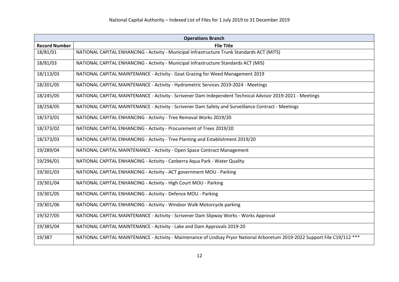| <b>Operations Branch</b> |                                                                                                                              |
|--------------------------|------------------------------------------------------------------------------------------------------------------------------|
| <b>Record Number</b>     | <b>File Title</b>                                                                                                            |
| 18/81/01                 | NATIONAL CAPITAL ENHANCING - Activity - Municipal Infrastructure Trunk Standards ACT (MITS)                                  |
| 18/81/03                 | NATIONAL CAPITAL ENHANCING - Activity - Municipal Infrastructure Standards ACT (MIS)                                         |
| 18/113/03                | NATIONAL CAPITAL MAINTENANCE - Activity - Goat Grazing for Weed Management 2019                                              |
| 18/201/05                | NATIONAL CAPITAL MAINTENANCE - Activity - Hydrometric Services 2019-2024 - Meetings                                          |
| 18/245/05                | NATIONAL CAPITAL MAINTENANCE - Activity - Scrivener Dam Independent Technical Advisor 2019-2021 - Meetings                   |
| 18/258/05                | NATIONAL CAPITAL MAINTENANCE - Activity - Scrivener Dam Safety and Surveillance Contract - Meetings                          |
| 18/373/01                | NATIONAL CAPITAL ENHANCING - Activity - Tree Removal Works 2019/20                                                           |
| 18/373/02                | NATIONAL CAPITAL ENHANCING - Activity - Procurement of Trees 2019/20                                                         |
| 18/373/03                | NATIONAL CAPITAL ENHANCING - Activity - Tree Planting and Establishment 2019/20                                              |
| 19/289/04                | NATIONAL CAPITAL MAINTENANCE - Activity - Open Space Contract Management                                                     |
| 19/296/01                | NATIONAL CAPITAL ENHANCING - Activity - Canberra Aqua Park - Water Quality                                                   |
| 19/301/03                | NATIONAL CAPITAL ENHANCING - Activity - ACT government MOU - Parking                                                         |
| 19/301/04                | NATIONAL CAPITAL ENHANCING - Activity - High Court MOU - Parking                                                             |
| 19/301/05                | NATIONAL CAPITAL ENHANCING - Activity - Defence MOU - Parking                                                                |
| 19/301/06                | NATIONAL CAPITAL ENHANCING - Activity - Windsor Walk Motorcycle parking                                                      |
| 19/327/05                | NATIONAL CAPITAL MAINTENANCE - Activity - Scrivener Dam Slipway Works - Works Approval                                       |
| 19/385/04                | NATIONAL CAPITAL MAINTENANCE - Activity - Lake and Dam Approvals 2019-20                                                     |
| 19/387                   | NATIONAL CAPITAL MAINTENANCE - Activity - Maintenance of Lindsay Pryor National Arboretum 2019-2022 Support File C19/112 *** |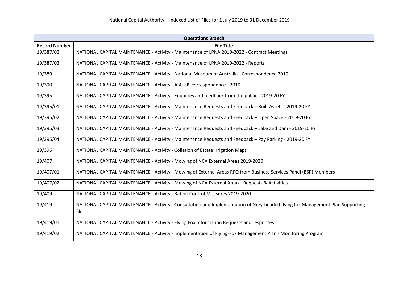| <b>Operations Branch</b> |                                                                                                                                |
|--------------------------|--------------------------------------------------------------------------------------------------------------------------------|
| <b>Record Number</b>     | <b>File Title</b>                                                                                                              |
| 19/387/02                | NATIONAL CAPITAL MAINTENANCE - Activity - Maintenance of LPNA 2019-2022 - Contract Meetings                                    |
| 19/387/03                | NATIONAL CAPITAL MAINTENANCE - Activity - Maintenance of LPNA 2019-2022 - Reports                                              |
| 19/389                   | NATIONAL CAPITAL MAINTENANCE - Activity - National Museum of Australia - Correspondence 2019                                   |
| 19/390                   | NATIONAL CAPITAL MAINTENANCE - Activity - AIATSIS correspondence - 2019                                                        |
| 19/395                   | NATIONAL CAPITAL MAINTENANCE - Activity - Enquiries and feedback from the public - 2019-20 FY                                  |
| 19/395/01                | NATIONAL CAPITAL MAINTENANCE - Activity - Maintenance Requests and Feedback - Built Assets - 2019-20 FY                        |
| 19/395/02                | NATIONAL CAPITAL MAINTENANCE - Activity - Maintenance Requests and Feedback - Open Space - 2019-20 FY                          |
| 19/395/03                | NATIONAL CAPITAL MAINTENANCE - Activity - Maintenance Requests and Feedback - Lake and Dam - 2019-20 FY                        |
| 19/395/04                | NATIONAL CAPITAL MAINTENANCE - Activity - Maintenance Requests and Feedback - Pay Parking - 2019-20 FY                         |
| 19/396                   | NATIONAL CAPITAL MAINTENANCE - Activity - Collation of Estate Irrigation Maps                                                  |
| 19/407                   | NATIONAL CAPITAL MAINTENANCE - Activity - Mowing of NCA External Areas 2019-2020                                               |
| 19/407/01                | NATIONAL CAPITAL MAINTENANCE - Activity - Mowing of External Areas RFQ from Business Services Panel (BSP) Members              |
| 19/407/02                | NATIONAL CAPITAL MAINTENANCE - Activity - Mowing of NCA External Areas - Requests & Activities                                 |
| 19/409                   | NATIONAL CAPITAL MAINTENANCE - Activity - Rabbit Control Measures 2019-2020                                                    |
| 19/419                   | NATIONAL CAPITAL MAINTENANCE - Activity - Consultation and Implementation of Grey-headed flying fox Management Plan Supporting |
|                          | file                                                                                                                           |
| 19/419/01                | NATIONAL CAPITAL MAINTENANCE - Activity - Flying Fox Information Requests and responses                                        |
| 19/419/02                | NATIONAL CAPITAL MAINTENANCE - Activity - Implementation of Flying-Fox Management Plan - Monitoring Program                    |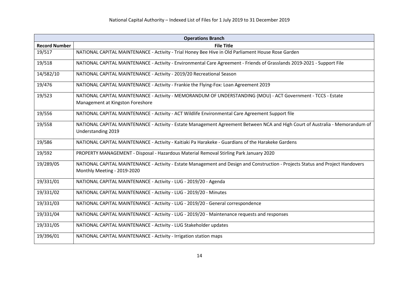|                      | <b>Operations Branch</b>                                                                                                        |  |
|----------------------|---------------------------------------------------------------------------------------------------------------------------------|--|
| <b>Record Number</b> | <b>File Title</b>                                                                                                               |  |
| 19/517               | NATIONAL CAPITAL MAINTENANCE - Activity - Trial Honey Bee Hive in Old Parliament House Rose Garden                              |  |
| 19/518               | NATIONAL CAPITAL MAINTENANCE - Activity - Environmental Care Agreement - Friends of Grasslands 2019-2021 - Support File         |  |
| 14/582/10            | NATIONAL CAPITAL MAINTENANCE - Activity - 2019/20 Recreational Season                                                           |  |
| 19/476               | NATIONAL CAPITAL MAINTENANCE - Activity - Frankie the Flying-Fox: Loan Agreement 2019                                           |  |
| 19/523               | NATIONAL CAPITAL MAINTENANCE - Activity - MEMORANDUM OF UNDERSTANDING (MOU) - ACT Government - TCCS - Estate                    |  |
|                      | Management at Kingston Foreshore                                                                                                |  |
| 19/556               | NATIONAL CAPITAL MAINTENANCE - Activity - ACT Wildlife Environmental Care Agreement Support file                                |  |
| 19/558               | NATIONAL CAPITAL MAINTENANCE - Activity - Estate Management Agreement Between NCA and High Court of Australia - Memorandum of   |  |
|                      | Understanding 2019                                                                                                              |  |
| 19/586               | NATIONAL CAPITAL MAINTENANCE - Activity - Kaitiaki Pa Harakeke - Guardians of the Harakeke Gardens                              |  |
| 19/592               | PROPERTY MANAGEMENT - Disposal - Hazardous Material Removal Stirling Park January 2020                                          |  |
| 19/289/05            | NATIONAL CAPITAL MAINTENANCE - Activity - Estate Management and Design and Construction - Projects Status and Project Handovers |  |
|                      | Monthly Meeting - 2019-2020                                                                                                     |  |
| 19/331/01            | NATIONAL CAPITAL MAINTENANCE - Activity - LUG - 2019/20 - Agenda                                                                |  |
| 19/331/02            | NATIONAL CAPITAL MAINTENANCE - Activity - LUG - 2019/20 - Minutes                                                               |  |
| 19/331/03            | NATIONAL CAPITAL MAINTENANCE - Activity - LUG - 2019/20 - General correspondence                                                |  |
| 19/331/04            | NATIONAL CAPITAL MAINTENANCE - Activity - LUG - 2019/20 - Maintenance requests and responses                                    |  |
| 19/331/05            | NATIONAL CAPITAL MAINTENANCE - Activity - LUG Stakeholder updates                                                               |  |
| 19/396/01            | NATIONAL CAPITAL MAINTENANCE - Activity - Irrigation station maps                                                               |  |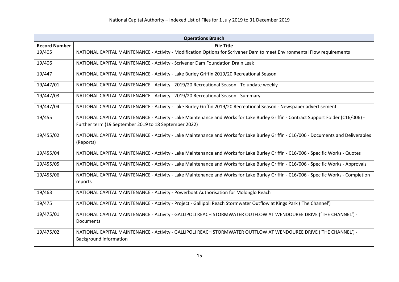| <b>Operations Branch</b> |                                                                                                                                      |
|--------------------------|--------------------------------------------------------------------------------------------------------------------------------------|
| <b>Record Number</b>     | <b>File Title</b>                                                                                                                    |
| 19/405                   | NATIONAL CAPITAL MAINTENANCE - Activity - Modification Options for Scrivener Dam to meet Environmental Flow requirements             |
| 19/406                   | NATIONAL CAPITAL MAINTENANCE - Activity - Scrivener Dam Foundation Drain Leak                                                        |
| 19/447                   | NATIONAL CAPITAL MAINTENANCE - Activity - Lake Burley Griffin 2019/20 Recreational Season                                            |
| 19/447/01                | NATIONAL CAPITAL MAINTENANCE - Activity - 2019/20 Recreational Season - To update weekly                                             |
| 19/447/03                | NATIONAL CAPITAL MAINTENANCE - Activity - 2019/20 Recreational Season - Summary                                                      |
| 19/447/04                | NATIONAL CAPITAL MAINTENANCE - Activity - Lake Burley Griffin 2019/20 Recreational Season - Newspaper advertisement                  |
| 19/455                   | NATIONAL CAPITAL MAINTENANCE - Activity - Lake Maintenance and Works for Lake Burley Griffin - Contract Support Folder (C16/006) -   |
|                          | Further term (19 September 2019 to 18 September 2022)                                                                                |
| 19/455/02                | NATIONAL CAPITAL MAINTENANCE - Activity - Lake Maintenance and Works for Lake Burley Griffin - C16/006 - Documents and Deliverables  |
|                          | (Reports)                                                                                                                            |
| 19/455/04                | NATIONAL CAPITAL MAINTENANCE - Activity - Lake Maintenance and Works for Lake Burley Griffin - C16/006 - Specific Works - Quotes     |
| 19/455/05                | NATIONAL CAPITAL MAINTENANCE - Activity - Lake Maintenance and Works for Lake Burley Griffin - C16/006 - Specific Works - Approvals  |
| 19/455/06                | NATIONAL CAPITAL MAINTENANCE - Activity - Lake Maintenance and Works for Lake Burley Griffin - C16/006 - Specific Works - Completion |
|                          | reports                                                                                                                              |
| 19/463                   | NATIONAL CAPITAL MAINTENANCE - Activity - Powerboat Authorisation for Molonglo Reach                                                 |
| 19/475                   | NATIONAL CAPITAL MAINTENANCE - Activity - Project - Gallipoli Reach Stormwater Outflow at Kings Park ('The Channel')                 |
| 19/475/01                | NATIONAL CAPITAL MAINTENANCE - Activity - GALLIPOLI REACH STORMWATER OUTFLOW AT WENDOUREE DRIVE ('THE CHANNEL') -                    |
|                          | Documents                                                                                                                            |
| 19/475/02                | NATIONAL CAPITAL MAINTENANCE - Activity - GALLIPOLI REACH STORMWATER OUTFLOW AT WENDOUREE DRIVE ('THE CHANNEL') -                    |
|                          | <b>Background information</b>                                                                                                        |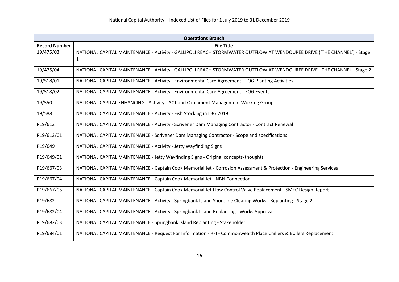| <b>Operations Branch</b> |                                                                                                                         |
|--------------------------|-------------------------------------------------------------------------------------------------------------------------|
| <b>Record Number</b>     | <b>File Title</b>                                                                                                       |
| 19/475/03                | NATIONAL CAPITAL MAINTENANCE - Activity - GALLIPOLI REACH STORMWATER OUTFLOW AT WENDOUREE DRIVE ('THE CHANNEL') - Stage |
|                          | 1                                                                                                                       |
| 19/475/04                | NATIONAL CAPITAL MAINTENANCE - Activity - GALLIPOLI REACH STORMWATER OUTFLOW AT WENDOUREE DRIVE - THE CHANNEL - Stage 2 |
| 19/518/01                | NATIONAL CAPITAL MAINTENANCE - Activity - Environmental Care Agreement - FOG Planting Activities                        |
| 19/518/02                | NATIONAL CAPITAL MAINTENANCE - Activity - Environmental Care Agreement - FOG Events                                     |
| 19/550                   | NATIONAL CAPITAL ENHANCING - Activity - ACT and Catchment Management Working Group                                      |
| 19/588                   | NATIONAL CAPITAL MAINTENANCE - Activity - Fish Stocking in LBG 2019                                                     |
| P19/613                  | NATIONAL CAPITAL MAINTENANCE - Activity - Scrivener Dam Managing Contractor - Contract Renewal                          |
| P19/613/01               | NATIONAL CAPITAL MAINTENANCE - Scrivener Dam Managing Contractor - Scope and specifications                             |
| P19/649                  | NATIONAL CAPITAL MAINTENANCE - Activity - Jetty Wayfinding Signs                                                        |
| P19/649/01               | NATIONAL CAPITAL MAINTENANCE - Jetty Wayfinding Signs - Original concepts/thoughts                                      |
| P19/667/03               | NATIONAL CAPITAL MAINTENANCE - Captain Cook Memorial Jet - Corrosion Assessment & Protection - Engineering Services     |
| P19/667/04               | NATIONAL CAPITAL MAINTENANCE - Captain Cook Memorial Jet - NBN Connection                                               |
| P19/667/05               | NATIONAL CAPITAL MAINTENANCE - Captain Cook Memorial Jet Flow Control Valve Replacement - SMEC Design Report            |
| P19/682                  | NATIONAL CAPITAL MAINTENANCE - Activity - Springbank Island Shoreline Clearing Works - Replanting - Stage 2             |
| P19/682/04               | NATIONAL CAPITAL MAINTENANCE - Activity - Springbank Island Replanting - Works Approval                                 |
| P19/682/03               | NATIONAL CAPITAL MAINTENANCE - Springbank Island Replanting - Stakeholder                                               |
| P19/684/01               | NATIONAL CAPITAL MAINTENANCE - Request For Information - RFI - Commonwealth Place Chillers & Boilers Replacement        |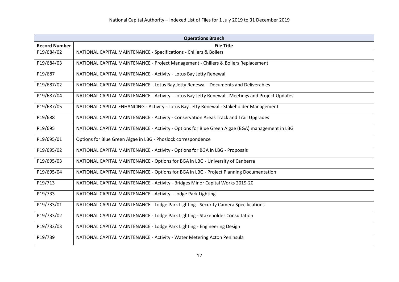| <b>Operations Branch</b> |                                                                                                  |
|--------------------------|--------------------------------------------------------------------------------------------------|
| <b>Record Number</b>     | <b>File Title</b>                                                                                |
| P19/684/02               | NATIONAL CAPITAL MAINTENANCE - Specifications - Chillers & Boilers                               |
| P19/684/03               | NATIONAL CAPITAL MAINTENANCE - Project Management - Chillers & Boilers Replacement               |
| P19/687                  | NATIONAL CAPITAL MAINTENANCE - Activity - Lotus Bay Jetty Renewal                                |
| P19/687/02               | NATIONAL CAPITAL MAINTENANCE - Lotus Bay Jetty Renewal - Documents and Deliverables              |
| P19/687/04               | NATIONAL CAPITAL MAINTENANCE - Activity - Lotus Bay Jetty Renewal - Meetings and Project Updates |
| P19/687/05               | NATIONAL CAPITAL ENHANCING - Activity - Lotus Bay Jetty Renewal - Stakeholder Management         |
| P19/688                  | NATIONAL CAPITAL MAINTENANCE - Activity - Conservation Areas Track and Trail Upgrades            |
| P19/695                  | NATIONAL CAPITAL MAINTENANCE - Activity - Options for Blue Green Algae (BGA) management in LBG   |
| P19/695/01               | Options for Blue Green Algae in LBG - Phoslock correspondence                                    |
| P19/695/02               | NATIONAL CAPITAL MAINTENANCE - Activity - Options for BGA in LBG - Proposals                     |
| P19/695/03               | NATIONAL CAPITAL MAINTENANCE - Options for BGA in LBG - University of Canberra                   |
| P19/695/04               | NATIONAL CAPITAL MAINTENANCE - Options for BGA in LBG - Project Planning Documentation           |
| P19/713                  | NATIONAL CAPITAL MAINTENANCE - Activity - Bridges Minor Capital Works 2019-20                    |
| P19/733                  | NATIONAL CAPITAL MAINTENANCE - Activity - Lodge Park Lighting                                    |
| P19/733/01               | NATIONAL CAPITAL MAINTENANCE - Lodge Park Lighting - Security Camera Specifications              |
| P19/733/02               | NATIONAL CAPITAL MAINTENANCE - Lodge Park Lighting - Stakeholder Consultation                    |
| P19/733/03               | NATIONAL CAPITAL MAINTENANCE - Lodge Park Lighting - Engineering Design                          |
| P19/739                  | NATIONAL CAPITAL MAINTENANCE - Activity - Water Metering Acton Peninsula                         |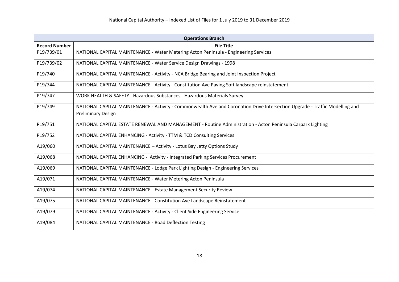| <b>Operations Branch</b> |                                                                                                                                                           |
|--------------------------|-----------------------------------------------------------------------------------------------------------------------------------------------------------|
| <b>Record Number</b>     | <b>File Title</b>                                                                                                                                         |
| P19/739/01               | NATIONAL CAPITAL MAINTENANCE - Water Metering Acton Peninsula - Engineering Services                                                                      |
| P19/739/02               | NATIONAL CAPITAL MAINTENANCE - Water Service Design Drawings - 1998                                                                                       |
| P19/740                  | NATIONAL CAPITAL MAINTENANCE - Activity - NCA Bridge Bearing and Joint Inspection Project                                                                 |
| P19/744                  | NATIONAL CAPITAL MAINTENANCE - Activity - Constitution Ave Paving Soft landscape reinstatement                                                            |
| P19/747                  | WORK HEALTH & SAFETY - Hazardous Substances - Hazardous Materials Survey                                                                                  |
| P19/749                  | NATIONAL CAPITAL MAINTENANCE - Activity - Commonwealth Ave and Coronation Drive Intersection Upgrade - Traffic Modelling and<br><b>Preliminary Design</b> |
| P19/751                  | NATIONAL CAPITAL ESTATE RENEWAL AND MANAGEMENT - Routine Administration - Acton Peninsula Carpark Lighting                                                |
| P19/752                  | NATIONAL CAPITAL ENHANCING - Activity - TTM & TCD Consulting Services                                                                                     |
| A19/060                  | NATIONAL CAPITAL MAINTENANCE - Activity - Lotus Bay Jetty Options Study                                                                                   |
| A19/068                  | NATIONAL CAPITAL ENHANCING - Activity - Integrated Parking Services Procurement                                                                           |
| A19/069                  | NATIONAL CAPITAL MAINTENANCE - Lodge Park Lighting Design - Engineering Services                                                                          |
| A19/071                  | NATIONAL CAPITAL MAINTENANCE - Water Metering Acton Peninsula                                                                                             |
| A19/074                  | NATIONAL CAPITAL MAINTENANCE - Estate Management Security Review                                                                                          |
| A19/075                  | NATIONAL CAPITAL MAINTENANCE - Constitution Ave Landscape Reinstatement                                                                                   |
| A19/079                  | NATIONAL CAPITAL MAINTENANCE - Activity - Client Side Engineering Service                                                                                 |
| A19/084                  | NATIONAL CAPITAL MAINTENANCE - Road Deflection Testing                                                                                                    |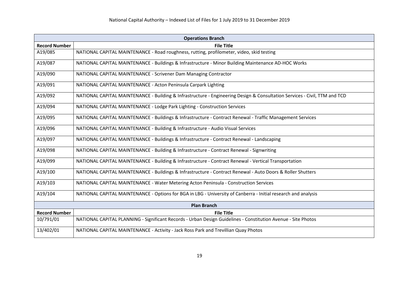|                      | <b>Operations Branch</b>                                                                                                   |  |
|----------------------|----------------------------------------------------------------------------------------------------------------------------|--|
| <b>Record Number</b> | <b>File Title</b>                                                                                                          |  |
| A19/085              | NATIONAL CAPITAL MAINTENANCE - Road roughness, rutting, profilometer, video, skid testing                                  |  |
| A19/087              | NATIONAL CAPITAL MAINTENANCE - Buildings & Infrastructure - Minor Building Maintenance AD-HOC Works                        |  |
| A19/090              | NATIONAL CAPITAL MAINTENANCE - Scrivener Dam Managing Contractor                                                           |  |
| A19/091              | NATIONAL CAPITAL MAINTENANCE - Acton Peninsula Carpark Lighting                                                            |  |
| A19/092              | NATIONAL CAPITAL MAINTENANCE - Building & Infrastructure - Engineering Design & Consultation Services - Civil, TTM and TCD |  |
| A19/094              | NATIONAL CAPITAL MAINTENANCE - Lodge Park Lighting - Construction Services                                                 |  |
| A19/095              | NATIONAL CAPITAL MAINTENANCE - Buildings & Infrastructure - Contract Renewal - Traffic Management Services                 |  |
| A19/096              | NATIONAL CAPITAL MAINTENANCE - Building & Infrastructure - Audio Visual Services                                           |  |
| A19/097              | NATIONAL CAPITAL MAINTENANCE - Buildings & Infrastructure - Contract Renewal - Landscaping                                 |  |
| A19/098              | NATIONAL CAPITAL MAINTENANCE - Building & Infrastructure - Contract Renewal - Signwriting                                  |  |
| A19/099              | NATIONAL CAPITAL MAINTENANCE - Building & Infrastructure - Contract Renewal - Vertical Transportation                      |  |
| A19/100              | NATIONAL CAPITAL MAINTENANCE - Buildings & Infrastructure - Contract Renewal - Auto Doors & Roller Shutters                |  |
| A19/103              | NATIONAL CAPITAL MAINTENANCE - Water Metering Acton Peninsula - Construction Services                                      |  |
| A19/104              | NATIONAL CAPITAL MAINTENANCE - Options for BGA in LBG - University of Canberra - Initial research and analysis             |  |
| <b>Plan Branch</b>   |                                                                                                                            |  |
| <b>Record Number</b> | <b>File Title</b>                                                                                                          |  |
| 10/791/01            | NATIONAL CAPITAL PLANNING - Significant Records - Urban Design Guidelines - Constitution Avenue - Site Photos              |  |
| 13/402/01            | NATIONAL CAPITAL MAINTENANCE - Activity - Jack Ross Park and Trevillian Quay Photos                                        |  |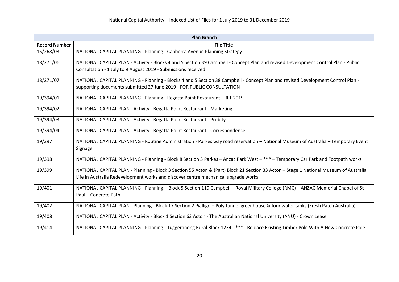| <b>Plan Branch</b>   |                                                                                                                                       |
|----------------------|---------------------------------------------------------------------------------------------------------------------------------------|
| <b>Record Number</b> | <b>File Title</b>                                                                                                                     |
| 15/268/03            | NATIONAL CAPITAL PLANNING - Planning - Canberra Avenue Planning Strategy                                                              |
| 18/271/06            | NATIONAL CAPITAL PLAN - Activity - Blocks 4 and 5 Section 39 Campbell - Concept Plan and revised Development Control Plan - Public    |
|                      | Consultation - 1 July to 9 August 2019 - Submissions received                                                                         |
| 18/271/07            | NATIONAL CAPITAL PLANNING - Planning - Blocks 4 and 5 Section 38 Campbell - Concept Plan and revised Development Control Plan -       |
|                      | supporting documents submitted 27 June 2019 - FOR PUBLIC CONSULTATION                                                                 |
| 19/394/01            | NATIONAL CAPITAL PLANNING - Planning - Regatta Point Restaurant - RFT 2019                                                            |
| 19/394/02            | NATIONAL CAPITAL PLAN - Activity - Regatta Point Restaurant - Marketing                                                               |
| 19/394/03            | NATIONAL CAPITAL PLAN - Activity - Regatta Point Restaurant - Probity                                                                 |
| 19/394/04            | NATIONAL CAPITAL PLAN - Activity - Regatta Point Restaurant - Correspondence                                                          |
| 19/397               | NATIONAL CAPITAL PLANNING - Routine Administration - Parkes way road reservation - National Museum of Australia - Temporary Event     |
|                      | Signage                                                                                                                               |
| 19/398               | NATIONAL CAPITAL PLANNING - Planning - Block 8 Section 3 Parkes - Anzac Park West - *** - Temporary Car Park and Footpath works       |
| 19/399               | NATIONAL CAPITAL PLAN - Planning - Block 3 Section 55 Acton & (Part) Block 21 Section 33 Acton - Stage 1 National Museum of Australia |
|                      | Life in Australia Redevelopment works and discover centre mechanical upgrade works                                                    |
| 19/401               | NATIONAL CAPITAL PLANNING - Planning - Block 5 Section 119 Campbell - Royal Military College (RMC) - ANZAC Memorial Chapel of St      |
|                      | Paul - Concrete Path                                                                                                                  |
| 19/402               | NATIONAL CAPITAL PLAN - Planning - Block 17 Section 2 Pialligo - Poly tunnel greenhouse & four water tanks (Fresh Patch Australia)    |
| 19/408               | NATIONAL CAPITAL PLAN - Activity - Block 1 Section 63 Acton - The Australian National University (ANU) - Crown Lease                  |
| 19/414               | NATIONAL CAPITAL PLANNING - Planning - Tuggeranong Rural Block 1234 - *** - Replace Existing Timber Pole With A New Concrete Pole     |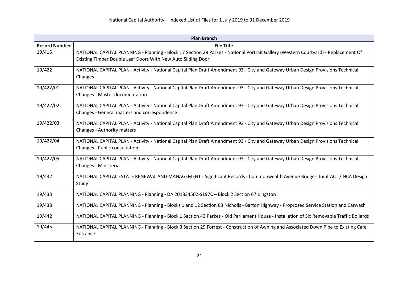| <b>Plan Branch</b>   |                                                                                                                                                                                                    |
|----------------------|----------------------------------------------------------------------------------------------------------------------------------------------------------------------------------------------------|
| <b>Record Number</b> | <b>File Title</b>                                                                                                                                                                                  |
| 19/415               | NATIONAL CAPITAL PLANNING - Planning - Block 17 Section 28 Parkes - National Portrait Gallery (Western Courtyard) - Replacement Of<br>Existing Timber Double Leaf Doors With New Auto Sliding Door |
| 19/422               | NATIONAL CAPITAL PLAN - Activity - National Capital Plan Draft Amendment 93 - City and Gateway Urban Design Provisions Technical<br>Changes                                                        |
| 19/422/01            | NATIONAL CAPITAL PLAN - Activity - National Capital Plan Draft Amendment 93 - City and Gateway Urban Design Provisions Technical<br>Changes - Master documentation                                 |
| 19/422/02            | NATIONAL CAPITAL PLAN - Activity - National Capital Plan Draft Amendment 93 - City and Gateway Urban Design Provisions Technical<br>Changes - General matters and correspondence                   |
| 19/422/03            | NATIONAL CAPITAL PLAN - Activity - National Capital Plan Draft Amendment 93 - City and Gateway Urban Design Provisions Technical<br>Changes - Authority matters                                    |
| 19/422/04            | NATIONAL CAPITAL PLAN - Activity - National Capital Plan Draft Amendment 93 - City and Gateway Urban Design Provisions Technical<br>Changes - Public consultation                                  |
| 19/422/05            | NATIONAL CAPITAL PLAN - Activity - National Capital Plan Draft Amendment 93 - City and Gateway Urban Design Provisions Technical<br>Changes - Ministerial                                          |
| 19/432               | NATIONAL CAPITAL ESTATE RENEWAL AND MANAGEMENT - Significant Records - Commonwealth Avenue Bridge - Joint ACT / NCA Design<br>Study                                                                |
| 19/433               | NATIONAL CAPITAL PLANNING - Planning - DA 201834502-S197C - Block 2 Section 67 Kingston                                                                                                            |
| 19/438               | NATIONAL CAPITAL PLANNING - Planning - Blocks 1 and 12 Section 83 Nicholls - Barton Highway - Proprosed Service Station and Carwash                                                                |
| 19/442               | NATIONAL CAPITAL PLANNING - Planning - Block 1 Section 43 Parkes - Old Parliament House - Installation of Six Removable Traffic Bollards                                                           |
| 19/445               | NATIONAL CAPITAL PLANNING - Planning - Block 3 Section 29 Forrest - Construction of Awning and Associated Down Pipe to Existing Cafe<br>Entrance                                                   |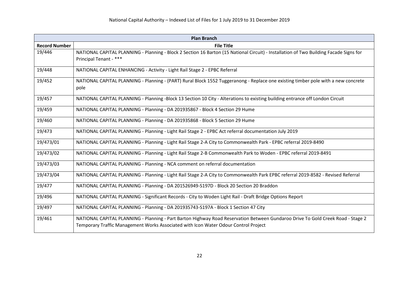| <b>Plan Branch</b>   |                                                                                                                                                                  |
|----------------------|------------------------------------------------------------------------------------------------------------------------------------------------------------------|
| <b>Record Number</b> | <b>File Title</b>                                                                                                                                                |
| 19/446               | NATIONAL CAPITAL PLANNING - Planning - Block 2 Section 16 Barton (15 National Circuit) - Installation of Two Building Facade Signs for<br>Principal Tenant - *** |
| 19/448               | NATIONAL CAPITAL ENHANCING - Activity - Light Rail Stage 2 - EPBC Referral                                                                                       |
| 19/452               | NATIONAL CAPITAL PLANNING - Planning - (PART) Rural Block 1552 Tuggeranong - Replace one existing timber pole with a new concrete<br>pole                        |
| 19/457               | NATIONAL CAPITAL PLANNING - Planning -Block 13 Section 10 City - Alterations to existing building entrance off London Circuit                                    |
| 19/459               | NATIONAL CAPITAL PLANNING - Planning - DA 201935867 - Block 4 Section 29 Hume                                                                                    |
| 19/460               | NATIONAL CAPITAL PLANNING - Planning - DA 201935868 - Block 5 Section 29 Hume                                                                                    |
| 19/473               | NATIONAL CAPITAL PLANNING - Planning - Light Rail Stage 2 - EPBC Act referral documentation July 2019                                                            |
| 19/473/01            | NATIONAL CAPITAL PLANNING - Planning - Light Rail Stage 2-A City to Commonwealth Park - EPBC referral 2019-8490                                                  |
| 19/473/02            | NATIONAL CAPITAL PLANNING - Planning - Light Rail Stage 2-B Commonwealth Park to Woden - EPBC referral 2019-8491                                                 |
| 19/473/03            | NATIONAL CAPITAL PLANNING - Planning - NCA comment on referral documentation                                                                                     |
| 19/473/04            | NATIONAL CAPITAL PLANNING - Planning - Light Rail Stage 2-A City to Commonwealth Park EPBC referral 2019-8582 - Revised Referral                                 |
| 19/477               | NATIONAL CAPITAL PLANNING - Planning - DA 201526949-S197D - Block 20 Section 20 Braddon                                                                          |
| 19/496               | NATIONAL CAPITAL PLANNING - Significant Records - City to Woden Light Rail - Draft Bridge Options Report                                                         |
| 19/497               | NATIONAL CAPITAL PLANNING - Planning - DA 201935743-S197A - Block 1 Section 47 City                                                                              |
| 19/461               | NATIONAL CAPITAL PLANNING - Planning - Part Barton Highway Road Reservation Between Gundaroo Drive To Gold Creek Road - Stage 2                                  |
|                      | Temporary Traffic Management Works Associated with Icon Water Odour Control Project                                                                              |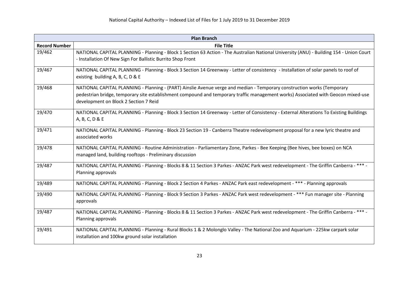| <b>Plan Branch</b>   |                                                                                                                                                                                                                                                                                                       |
|----------------------|-------------------------------------------------------------------------------------------------------------------------------------------------------------------------------------------------------------------------------------------------------------------------------------------------------|
| <b>Record Number</b> | <b>File Title</b>                                                                                                                                                                                                                                                                                     |
| 19/462               | NATIONAL CAPITAL PLANNING - Planning - Block 1 Section 63 Action - The Australian National University (ANU) - Building 154 - Union Court<br>- Installation Of New Sign For Ballistic Burrito Shop Front                                                                                               |
| 19/467               | NATIONAL CAPITAL PLANNING - Planning - Block 3 Section 14 Greenway - Letter of consistency - Installation of solar panels to roof of<br>existing building A, B, C, D & E                                                                                                                              |
| 19/468               | NATIONAL CAPITAL PLANNING - Planning - (PART) Ainslie Avenue verge and median - Temporary construction works (Temporary<br>pedestrian bridge, temporary site establishment compound and temporary traffic management works) Associated with Geocon mixed-use<br>development on Block 2 Section 7 Reid |
| 19/470               | NATIONAL CAPITAL PLANNING - Planning - Block 3 Section 14 Greenway - Letter of Consistency - External Alterations To Existing Buildings<br>A, B, C, D & E                                                                                                                                             |
| 19/471               | NATIONAL CAPITAL PLANNING - Planning - Block 23 Section 19 - Canberra Theatre redevelopment proposal for a new lyric theatre and<br>associated works                                                                                                                                                  |
| 19/478               | NATIONAL CAPITAL PLANNING - Routine Administration - Parliamentary Zone, Parkes - Bee Keeping (Bee hives, bee boxes) on NCA<br>managed land, building rooftops - Preliminary discussion                                                                                                               |
| 19/487               | NATIONAL CAPITAL PLANNING - Planning - Blocks 8 & 11 Section 3 Parkes - ANZAC Park west redevelopment - The Griffin Canberra - *** -<br>Planning approvals                                                                                                                                            |
| 19/489               | NATIONAL CAPITAL PLANNING - Planning - Block 2 Section 4 Parkes - ANZAC Park east redevelopment - *** - Planning approvals                                                                                                                                                                            |
| 19/490               | NATIONAL CAPITAL PLANNING - Planning - Block 9 Section 3 Parkes - ANZAC Park west redevelopment - *** Fun manager site - Planning<br>approvals                                                                                                                                                        |
| 19/487               | NATIONAL CAPITAL PLANNING - Planning - Blocks 8 & 11 Section 3 Parkes - ANZAC Park west redevelopment - The Griffin Canberra - *** -<br>Planning approvals                                                                                                                                            |
| 19/491               | NATIONAL CAPITAL PLANNING - Planning - Rural Blocks 1 & 2 Molonglo Valley - The National Zoo and Aquarium - 225kw carpark solar<br>installation and 100kw ground solar installation                                                                                                                   |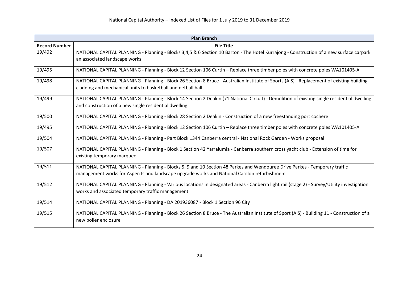| <b>Plan Branch</b>   |                                                                                                                                             |
|----------------------|---------------------------------------------------------------------------------------------------------------------------------------------|
| <b>Record Number</b> | <b>File Title</b>                                                                                                                           |
| 19/492               | NATIONAL CAPITAL PLANNING - Planning - Blocks 3,4,5 & 6 Section 10 Barton - The Hotel Kurrajong - Construction of a new surface carpark     |
|                      | an associated landscape works                                                                                                               |
| 19/495               | NATIONAL CAPITAL PLANNING - Planning - Block 12 Section 106 Curtin - Replace three timber poles with concrete poles WA101405-A              |
| 19/498               | NATIONAL CAPITAL PLANNING - Planning - Block 26 Section 8 Bruce - Australian Institute of Sports (AIS) - Replacement of existing building   |
|                      | cladding and mechanical units to basketball and netball hall                                                                                |
| 19/499               | NATIONAL CAPITAL PLANNING - Planning - Block 14 Section 2 Deakin (71 National Circuit) - Demolition of existing single residential dwelling |
|                      | and construction of a new single residential dwelling                                                                                       |
| 19/500               | NATIONAL CAPITAL PLANNING - Planning - Block 28 Section 2 Deakin - Construction of a new freestanding port cochere                          |
| 19/495               | NATIONAL CAPITAL PLANNING - Planning - Block 12 Section 106 Curtin - Replace three timber poles with concrete poles WA101405-A              |
| 19/504               | NATIONAL CAPITAL PLANNING - Planning - Part Block 1344 Canberra central - National Rock Garden - Works proposal                             |
| 19/507               | NATIONAL CAPITAL PLANNING - Planning - Block 1 Section 42 Yarralumla - Canberra southern cross yacht club - Extension of time for           |
|                      | existing temporary marquee                                                                                                                  |
| 19/511               | NATIONAL CAPITAL PLANNING - Planning - Blocks 5, 9 and 10 Section 48 Parkes and Wendouree Drive Parkes - Temporary traffic                  |
|                      | management works for Aspen Island landscape upgrade works and National Carillon refurbishment                                               |
| 19/512               | NATIONAL CAPITAL PLANNING - Planning - Various locations in designated areas - Canberra light rail (stage 2) - Survey/Utility investigation |
|                      | works and associated temporary traffic management                                                                                           |
| 19/514               | NATIONAL CAPITAL PLANNING - Planning - DA 201936087 - Block 1 Section 96 City                                                               |
| 19/515               | NATIONAL CAPITAL PLANNING - Planning - Block 26 Section 8 Bruce - The Australian Institute of Sport (AIS) - Building 11 - Construction of a |
|                      | new boiler enclosure                                                                                                                        |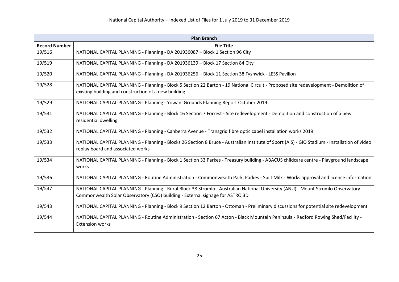| <b>Plan Branch</b>   |                                                                                                                                                                                   |
|----------------------|-----------------------------------------------------------------------------------------------------------------------------------------------------------------------------------|
| <b>Record Number</b> | <b>File Title</b>                                                                                                                                                                 |
| 19/516               | NATIONAL CAPITAL PLANNING - Planning - DA 201936087 - Block 1 Section 96 City                                                                                                     |
| 19/519               | NATIONAL CAPITAL PLANNING - Planning - DA 201936139 - Block 17 Section 84 City                                                                                                    |
| 19/520               | NATIONAL CAPITAL PLANNING - Planning - DA 201936256 - Block 11 Section 38 Fyshwick - LESS Pavilion                                                                                |
| 19/528               | NATIONAL CAPITAL PLANNING - Planning - Block 5 Section 22 Barton - 19 National Circuit - Proposed site redevelopment - Demolition of                                              |
|                      | existing building and construction of a new building                                                                                                                              |
| 19/529               | NATIONAL CAPITAL PLANNING - Planning - Yowani Grounds Planning Report October 2019                                                                                                |
| 19/531               | NATIONAL CAPITAL PLANNING - Planning - Block 16 Section 7 Forrest - Site redevelopment - Demolition and construction of a new                                                     |
|                      | residential dwelling                                                                                                                                                              |
| 19/532               | NATIONAL CAPITAL PLANNING - Planning - Canberra Avenue - Transgrid fibre optic cabel installation works 2019                                                                      |
| 19/533               | NATIONAL CAPITAL PLANNING - Planning - Blocks 26 Section 8 Bruce - Australian Institute of Sport (AIS) - GIO Stadium - Installation of video<br>replay board and associated works |
|                      |                                                                                                                                                                                   |
| 19/534               | NATIONAL CAPITAL PLANNING - Planning - Block 1 Section 33 Parkes - Treasury building - ABACUS childcare centre - Playground landscape<br>works                                    |
| 19/536               | NATIONAL CAPITAL PLANNING - Routine Administration - Commonwealth Park, Parkes - Spilt Milk - Works approval and licence information                                              |
| 19/537               | NATIONAL CAPITAL PLANNING - Planning - Rural Block 38 Stromlo - Australian National University (ANU) - Mount Stromlo Observatory -                                                |
|                      | Commonwealth Solar Observatory (CSO) building - External signage for ASTRO 3D                                                                                                     |
| 19/543               | NATIONAL CAPITAL PLANNING - Planning - Block 9 Section 12 Barton - Ottoman - Preliminary discussions for potential site redevelopment                                             |
| 19/544               | NATIONAL CAPITAL PLANNING - Routine Administration - Section 67 Acton - Black Mountain Peninsula - Radford Rowing Shed/Facility -                                                 |
|                      | <b>Extension works</b>                                                                                                                                                            |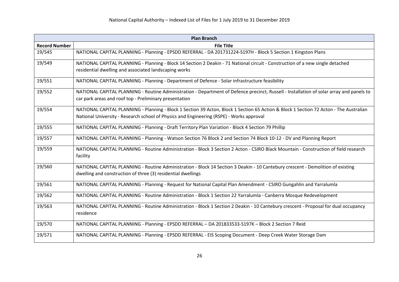| <b>Plan Branch</b>   |                                                                                                                                                                                                                                    |
|----------------------|------------------------------------------------------------------------------------------------------------------------------------------------------------------------------------------------------------------------------------|
| <b>Record Number</b> | <b>File Title</b>                                                                                                                                                                                                                  |
| 19/545               | NATIONAL CAPITAL PLANNING - Planning - EPSDD REFERRAL - DA 201731224-S197H - Block 5 Section 1 Kingston Plans                                                                                                                      |
| 19/549               | NATIONAL CAPITAL PLANNING - Planning - Block 14 Section 2 Deakin - 71 National circuit - Construction of a new single detached<br>residential dwelling and associated landscaping works                                            |
| 19/551               | NATIONAL CAPITAL PLANNING - Planning - Department of Defence - Solar infrastructure feasibility                                                                                                                                    |
| 19/552               | NATIONAL CAPITAL PLANNING - Routine Administration - Department of Defence precinct, Russell - Installation of solar array and panels to<br>car park areas and roof top - Preliminary presentation                                 |
| 19/554               | NATIONAL CAPITAL PLANNING - Planning - Block 1 Section 39 Acton, Block 1 Section 65 Action & Block 1 Section 72 Acton - The Australian<br>National University - Research school of Physics and Engineering (RSPE) - Works approval |
| 19/555               | NATIONAL CAPITAL PLANNING - Planning - Draft Territory Plan Variation - Block 4 Section 79 Phillip                                                                                                                                 |
| 19/557               | NATIONAL CAPITAL PLANNING - Planning - Watson Section 76 Block 2 and Section 74 Block 10-12 - DV and Planning Report                                                                                                               |
| 19/559               | NATIONAL CAPITAL PLANNING - Routine Administration - Block 3 Section 2 Acton - CSIRO Black Mountain - Construction of field research<br>facility                                                                                   |
| 19/560               | NATIONAL CAPITAL PLANNING - Routine Administration - Block 14 Section 3 Deakin - 10 Cantebury crescent - Demolition of existing<br>dwelling and construction of three (3) residential dwellings                                    |
| 19/561               | NATIONAL CAPITAL PLANNING - Planning - Request for National Capital Plan Amendment - CSIRO Gungahlin and Yarralumla                                                                                                                |
| 19/562               | NATIONAL CAPITAL PLANNING - Routine Administration - Block 1 Section 22 Yarralumla - Canberra Mosque Redevelopment                                                                                                                 |
| 19/563               | NATIONAL CAPITAL PLANNING - Routine Administration - Block 1 Section 2 Deakin - 10 Cantebury crescent - Proposal for dual occupancy<br>residence                                                                                   |
| 19/570               | NATIONAL CAPITAL PLANNING - Planning - EPSDD REFERRAL - DA 201833533-S197K - Block 2 Section 7 Reid                                                                                                                                |
| 19/571               | NATIONAL CAPITAL PLANNING - Planning - EPSDD REFERRAL - EIS Scoping Document - Deep Creek Water Storage Dam                                                                                                                        |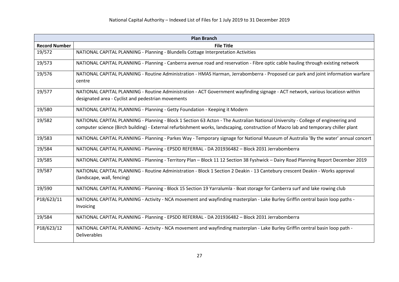| <b>Plan Branch</b>   |                                                                                                                                                                                                                                                                           |
|----------------------|---------------------------------------------------------------------------------------------------------------------------------------------------------------------------------------------------------------------------------------------------------------------------|
| <b>Record Number</b> | <b>File Title</b>                                                                                                                                                                                                                                                         |
| 19/572               | NATIONAL CAPITAL PLANNING - Planning - Blundells Cottage Interpretation Activities                                                                                                                                                                                        |
| 19/573               | NATIONAL CAPITAL PLANNING - Planning - Canberra avenue road and reservation - Fibre optic cable hauling through existing network                                                                                                                                          |
| 19/576               | NATIONAL CAPITAL PLANNING - Routine Administration - HMAS Harman, Jerrabomberra - Proposed car park and joint information warfare<br>centre                                                                                                                               |
| 19/577               | NATIONAL CAPITAL PLANNING - Routine Administration - ACT Government wayfinding signage - ACT network, various locatiosn within<br>designated area - Cyclist and pedestrian movements                                                                                      |
| 19/580               | NATIONAL CAPITAL PLANNING - Planning - Getty Foundation - Keeping it Modern                                                                                                                                                                                               |
| 19/582               | NATIONAL CAPITAL PLANNING - Planning - Block 1 Section 63 Acton - The Australian National University - College of engineering and<br>computer science (Birch building) - External refurbishment works, landscaping, construction of Macro lab and temporary chiller plant |
| 19/583               | NATIONAL CAPITAL PLANNING - Planning - Parkes Way - Temporary signage for National Museum of Australia 'By the water' annual concert                                                                                                                                      |
| 19/584               | NATIONAL CAPITAL PLANNING - Planning - EPSDD REFERRAL - DA 201936482 - Block 2031 Jerrabomberra                                                                                                                                                                           |
| 19/585               | NATIONAL CAPITAL PLANNING - Planning - Territory Plan - Block 11 12 Section 38 Fyshwick - Dairy Road Planning Report December 2019                                                                                                                                        |
| 19/587               | NATIONAL CAPITAL PLANNING - Routine Administration - Block 1 Section 2 Deakin - 13 Cantebury crescent Deakin - Works approval<br>(landscape, wall, fencing)                                                                                                               |
| 19/590               | NATIONAL CAPITAL PLANNING - Planning - Block 15 Section 19 Yarralumla - Boat storage for Canberra surf and lake rowing club                                                                                                                                               |
| P18/623/11           | NATIONAL CAPITAL PLANNING - Activity - NCA movement and wayfinding masterplan - Lake Burley Griffin central basin loop paths -<br>Invoicing                                                                                                                               |
| 19/584               | NATIONAL CAPITAL PLANNING - Planning - EPSDD REFERRAL - DA 201936482 - Block 2031 Jerrabomberra                                                                                                                                                                           |
| P18/623/12           | NATIONAL CAPITAL PLANNING - Activity - NCA movement and wayfinding masterplan - Lake Burley Griffin central basin loop path -<br>Deliverables                                                                                                                             |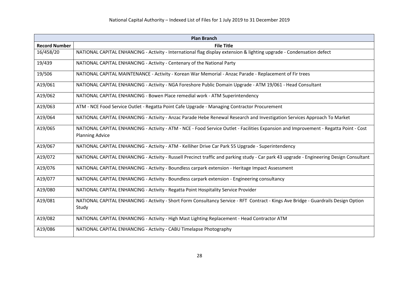| <b>Plan Branch</b>   |                                                                                                                                          |
|----------------------|------------------------------------------------------------------------------------------------------------------------------------------|
| <b>Record Number</b> | <b>File Title</b>                                                                                                                        |
| 16/458/20            | NATIONAL CAPITAL ENHANCING - Activity - International flag display extension & lighting upgrade - Condensation defect                    |
| 19/439               | NATIONAL CAPITAL ENHANCING - Activity - Centenary of the National Party                                                                  |
| 19/506               | NATIONAL CAPITAL MAINTENANCE - Activity - Korean War Memorial - Anzac Parade - Replacement of Fir trees                                  |
| A19/061              | NATIONAL CAPITAL ENHANCING - Activity - NGA Foreshore Public Domain Upgrade - ATM 19/061 - Head Consultant                               |
| A19/062              | NATIONAL CAPITAL ENHANCING - Bowen Place remedial work - ATM Superintendency                                                             |
| A19/063              | ATM - NCE Food Service Outlet - Regatta Point Cafe Upgrade - Managing Contractor Procurement                                             |
| A19/064              | NATIONAL CAPITAL ENHANCING - Activity - Anzac Parade Hebe Renewal Research and Investigation Services Approach To Market                 |
| A19/065              | NATIONAL CAPITAL ENHANCING - Activity - ATM - NCE - Food Service Outlet - Facilities Expansion and Improvement - Regatta Point - Cost    |
|                      | <b>Planning Advice</b>                                                                                                                   |
| A19/067              | NATIONAL CAPITAL ENHANCING - Activity - ATM - Kelliher Drive Car Park 55 Upgrade - Superintendency                                       |
| A19/072              | NATIONAL CAPITAL ENHANCING - Activity - Russell Precinct traffic and parking study - Car park 43 upgrade - Engineering Design Consultant |
| A19/076              | NATIONAL CAPITAL ENHANCING - Activity - Boundless carpark extension - Heritage Impact Assessment                                         |
| A19/077              | NATIONAL CAPITAL ENHANCING - Activity - Boundless carpark extension - Engineering consultancy                                            |
| A19/080              | NATIONAL CAPITAL ENHANCING - Activity - Regatta Point Hospitality Service Provider                                                       |
| A19/081              | NATIONAL CAPITAL ENHANCING - Activity - Short Form Consultancy Service - RFT Contract - Kings Ave Bridge - Guardrails Design Option      |
|                      | Study                                                                                                                                    |
| A19/082              | NATIONAL CAPITAL ENHANCING - Activity - High Mast Lighting Replacement - Head Contractor ATM                                             |
| A19/086              | NATIONAL CAPITAL ENHANCING - Activity - CABU Timelapse Photography                                                                       |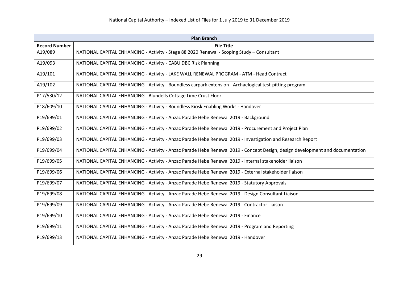| <b>Plan Branch</b>   |                                                                                                                               |
|----------------------|-------------------------------------------------------------------------------------------------------------------------------|
| <b>Record Number</b> | <b>File Title</b>                                                                                                             |
| A19/089              | NATIONAL CAPITAL ENHANCING - Activity - Stage 88 2020 Renewal - Scoping Study - Consultant                                    |
| A19/093              | NATIONAL CAPITAL ENHANCING - Activity - CABU DBC Risk Planning                                                                |
| A19/101              | NATIONAL CAPITAL ENHANCING - Activity - LAKE WALL RENEWAL PROGRAM - ATM - Head Contract                                       |
| A19/102              | NATIONAL CAPITAL ENHANCING - Activity - Boundless carpark extension - Archaelogical test-pitting program                      |
| P17/530/12           | NATIONAL CAPITAL ENHANCING - Blundells Cottage Lime Crust Floor                                                               |
| P18/609/10           | NATIONAL CAPITAL ENHANCING - Activity - Boundless Kiosk Enabling Works - Handover                                             |
| P19/699/01           | NATIONAL CAPITAL ENHANCING - Activity - Anzac Parade Hebe Renewal 2019 - Background                                           |
| P19/699/02           | NATIONAL CAPITAL ENHANCING - Activity - Anzac Parade Hebe Renewal 2019 - Procurement and Project Plan                         |
| P19/699/03           | NATIONAL CAPITAL ENHANCING - Activity - Anzac Parade Hebe Renewal 2019 - Investigation and Research Report                    |
| P19/699/04           | NATIONAL CAPITAL ENHANCING - Activity - Anzac Parade Hebe Renewal 2019 - Concept Design, design development and documentation |
| P19/699/05           | NATIONAL CAPITAL ENHANCING - Activity - Anzac Parade Hebe Renewal 2019 - Internal stakeholder liaison                         |
| P19/699/06           | NATIONAL CAPITAL ENHANCING - Activity - Anzac Parade Hebe Renewal 2019 - External stakeholder liaison                         |
| P19/699/07           | NATIONAL CAPITAL ENHANCING - Activity - Anzac Parade Hebe Renewal 2019 - Statutory Approvals                                  |
| P19/699/08           | NATIONAL CAPITAL ENHANCING - Activity - Anzac Parade Hebe Renewal 2019 - Design Consultant Liaison                            |
| P19/699/09           | NATIONAL CAPITAL ENHANCING - Activity - Anzac Parade Hebe Renewal 2019 - Contractor Liaison                                   |
| P19/699/10           | NATIONAL CAPITAL ENHANCING - Activity - Anzac Parade Hebe Renewal 2019 - Finance                                              |
| P19/699/11           | NATIONAL CAPITAL ENHANCING - Activity - Anzac Parade Hebe Renewal 2019 - Program and Reporting                                |
| P19/699/13           | NATIONAL CAPITAL ENHANCING - Activity - Anzac Parade Hebe Renewal 2019 - Handover                                             |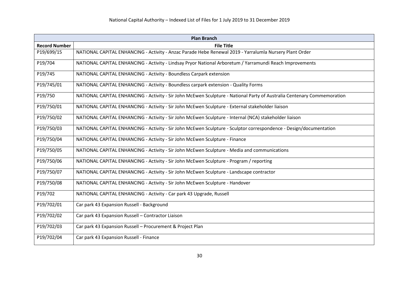| <b>Plan Branch</b>   |                                                                                                                         |
|----------------------|-------------------------------------------------------------------------------------------------------------------------|
| <b>Record Number</b> | <b>File Title</b>                                                                                                       |
| P19/699/15           | NATIONAL CAPITAL ENHANCING - Activity - Anzac Parade Hebe Renewal 2019 - Yarralumla Nursery Plant Order                 |
| P19/704              | NATIONAL CAPITAL ENHANCING - Activity - Lindsay Pryor National Arboretum / Yarramundi Reach Improvements                |
| P19/745              | NATIONAL CAPITAL ENHANCING - Activity - Boundless Carpark extension                                                     |
| P19/745/01           | NATIONAL CAPITAL ENHANCING - Activity - Boundless carpark extension - Quality Forms                                     |
| P19/750              | NATIONAL CAPITAL ENHANCING - Activity - Sir John McEwen Sculpture - National Party of Australia Centenary Commemoration |
| P19/750/01           | NATIONAL CAPITAL ENHANCING - Activity - Sir John McEwen Sculpture - External stakeholder liaison                        |
| P19/750/02           | NATIONAL CAPITAL ENHANCING - Activity - Sir John McEwen Sculpture - Internal (NCA) stakeholder liaison                  |
| P19/750/03           | NATIONAL CAPITAL ENHANCING - Activity - Sir John McEwen Sculpture - Sculptor correspondence - Design/documentation      |
| P19/750/04           | NATIONAL CAPITAL ENHANCING - Activity - Sir John McEwen Sculpture - Finance                                             |
| P19/750/05           | NATIONAL CAPITAL ENHANCING - Activity - Sir John McEwen Sculpture - Media and communications                            |
| P19/750/06           | NATIONAL CAPITAL ENHANCING - Activity - Sir John McEwen Sculpture - Program / reporting                                 |
| P19/750/07           | NATIONAL CAPITAL ENHANCING - Activity - Sir John McEwen Sculpture - Landscape contractor                                |
| P19/750/08           | NATIONAL CAPITAL ENHANCING - Activity - Sir John McEwen Sculpture - Handover                                            |
| P19/702              | NATIONAL CAPITAL ENHANCING - Activity - Car park 43 Upgrade, Russell                                                    |
| P19/702/01           | Car park 43 Expansion Russell - Background                                                                              |
| P19/702/02           | Car park 43 Expansion Russell - Contractor Liaison                                                                      |
| P19/702/03           | Car park 43 Expansion Russell - Procurement & Project Plan                                                              |
| P19/702/04           | Car park 43 Expansion Russell - Finance                                                                                 |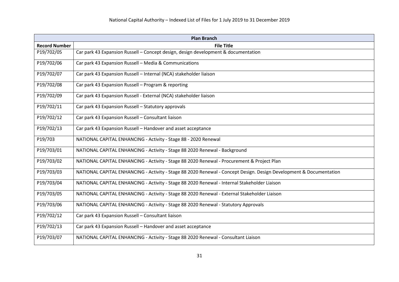| <b>Plan Branch</b>   |                                                                                                                    |
|----------------------|--------------------------------------------------------------------------------------------------------------------|
| <b>Record Number</b> | <b>File Title</b>                                                                                                  |
| P19/702/05           | Car park 43 Expansion Russell - Concept design, design development & documentation                                 |
| P19/702/06           | Car park 43 Expansion Russell - Media & Communications                                                             |
| P19/702/07           | Car park 43 Expansion Russell - Internal (NCA) stakeholder liaison                                                 |
| P19/702/08           | Car park 43 Expansion Russell - Program & reporting                                                                |
| P19/702/09           | Car park 43 Expansion Russell - External (NCA) stakeholder liaison                                                 |
| P19/702/11           | Car park 43 Expansion Russell - Statutory approvals                                                                |
| P19/702/12           | Car park 43 Expansion Russell - Consultant liaison                                                                 |
| P19/702/13           | Car park 43 Expansion Russell - Handover and asset acceptance                                                      |
| P19/703              | NATIONAL CAPITAL ENHANCING - Activity - Stage 88 - 2020 Renewal                                                    |
| P19/703/01           | NATIONAL CAPITAL ENHANCING - Activity - Stage 88 2020 Renewal - Background                                         |
| P19/703/02           | NATIONAL CAPITAL ENHANCING - Activity - Stage 88 2020 Renewal - Procurement & Project Plan                         |
| P19/703/03           | NATIONAL CAPITAL ENHANCING - Activity - Stage 88 2020 Renewal - Concept Design. Design Development & Documentation |
| P19/703/04           | NATIONAL CAPITAL ENHANCING - Activity - Stage 88 2020 Renewal - Internal Stakeholder Liaison                       |
| P19/703/05           | NATIONAL CAPITAL ENHANCING - Activity - Stage 88 2020 Renewal - External Stakeholder Liaison                       |
| P19/703/06           | NATIONAL CAPITAL ENHANCING - Activity - Stage 88 2020 Renewal - Statutory Approvals                                |
| P19/702/12           | Car park 43 Expansion Russell - Consultant liaison                                                                 |
| P19/702/13           | Car park 43 Expansion Russell - Handover and asset acceptance                                                      |
| P19/703/07           | NATIONAL CAPITAL ENHANCING - Activity - Stage 88 2020 Renewal - Consultant Liaison                                 |